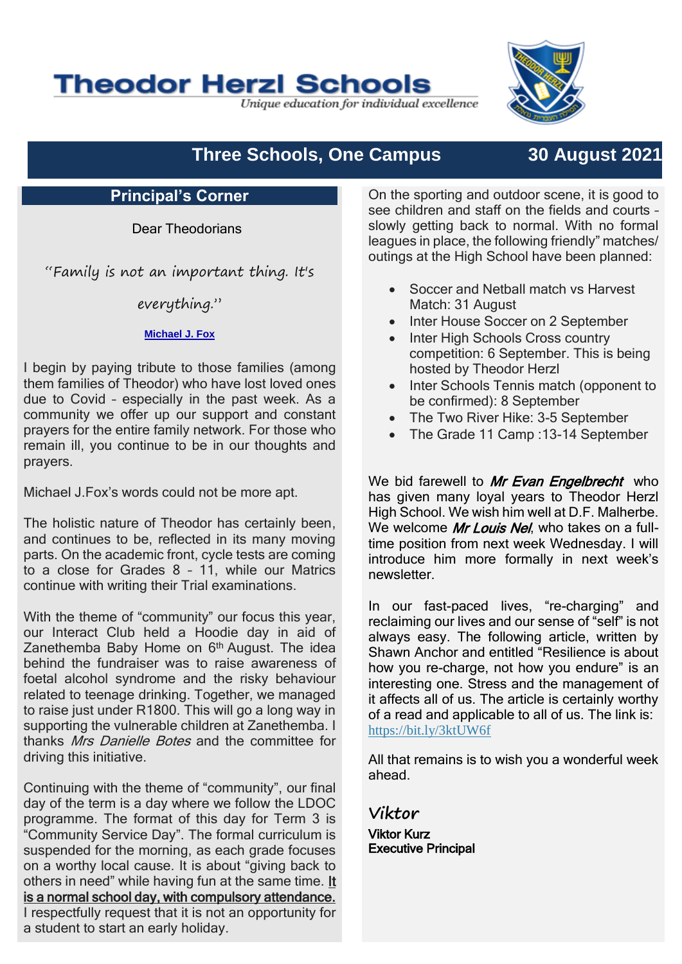# **Theodor Herzl Schools**

Unique education for individual excellence

## **Three Schools, One Campus 30 August 2021**

#### **Principal's Corner**

Dear Theodorians

"Family is not an important thing. It's

everything."

#### **[Michael J. Fox](https://www.brainyquote.com/authors/michael-j-fox-quotes)**

I begin by paying tribute to those families (among them families of Theodor) who have lost loved ones due to Covid – especially in the past week. As a community we offer up our support and constant prayers for the entire family network. For those who remain ill, you continue to be in our thoughts and prayers.

Michael J.Fox's words could not be more apt.

The holistic nature of Theodor has certainly been, and continues to be, reflected in its many moving parts. On the academic front, cycle tests are coming to a close for Grades 8 – 11, while our Matrics continue with writing their Trial examinations.

With the theme of "community" our focus this year, our Interact Club held a Hoodie day in aid of Zanethemba Baby Home on 6<sup>th</sup> August. The idea behind the fundraiser was to raise awareness of foetal alcohol syndrome and the risky behaviour related to teenage drinking. Together, we managed to raise just under R1800. This will go a long way in supporting the vulnerable children at Zanethemba. I thanks Mrs Danielle Botes and the committee for driving this initiative.

Continuing with the theme of "community", our final day of the term is a day where we follow the LDOC programme. The format of this day for Term 3 is "Community Service Day". The formal curriculum is suspended for the morning, as each grade focuses on a worthy local cause. It is about "giving back to others in need" while having fun at the same time. It is a normal school day, with compulsory attendance. I respectfully request that it is not an opportunity for a student to start an early holiday.

On the sporting and outdoor scene, it is good to see children and staff on the fields and courts – slowly getting back to normal. With no formal leagues in place, the following friendly" matches/ outings at the High School have been planned:

- Soccer and Netball match vs Harvest Match: 31 August
- Inter House Soccer on 2 September
- Inter High Schools Cross country competition: 6 September. This is being hosted by Theodor Herzl
- Inter Schools Tennis match (opponent to be confirmed): 8 September
- The Two River Hike: 3-5 September
- The Grade 11 Camp : 13-14 September

We bid farewell to Mr Evan Engelbrecht who has given many loval years to Theodor Herzl High School. We wish him well at D.F. Malherbe. We welcome Mr Louis Nel, who takes on a fulltime position from next week Wednesday. I will introduce him more formally in next week's newsletter.

In our fast-paced lives, "re-charging" and reclaiming our lives and our sense of "self" is not always easy. The following article, written by Shawn Anchor and entitled "Resilience is about how you re-charge, not how you endure" is an interesting one. Stress and the management of it affects all of us. The article is certainly worthy of a read and applicable to all of us. The link is: <https://bit.ly/3ktUW6f>

All that remains is to wish you a wonderful week ahead.

**Viktor** Viktor Kurz

Executive Principal

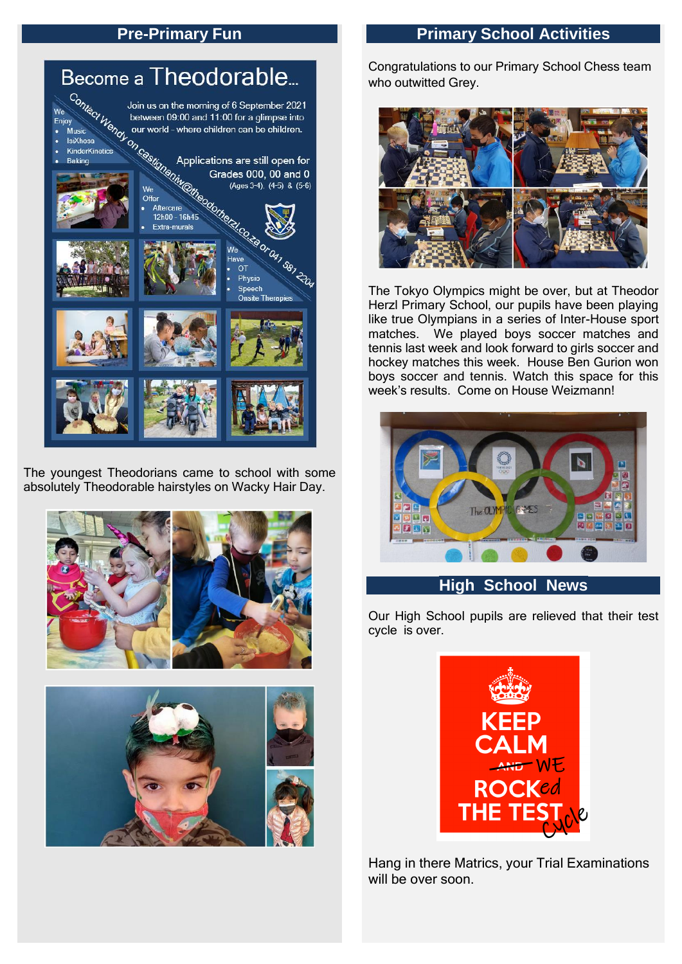## **Pre-Primary Fun**



The youngest Theodorians came to school with some absolutely Theodorable hairstyles on Wacky Hair Day.





## **Primary School Activities**

Congratulations to our Primary School Chess team who outwitted Grey.



The Tokyo Olympics might be over, but at Theodor Herzl Primary School, our pupils have been playing like true Olympians in a series of Inter-House sport matches. We played boys soccer matches and tennis last week and look forward to girls soccer and hockey matches this week. House Ben Gurion won boys soccer and tennis. Watch this space for this week's results. Come on House Weizmann!



### **High School News**

Our High School pupils are relieved that their test cycle is over.



Hang in there Matrics, your Trial Examinations will be over soon.